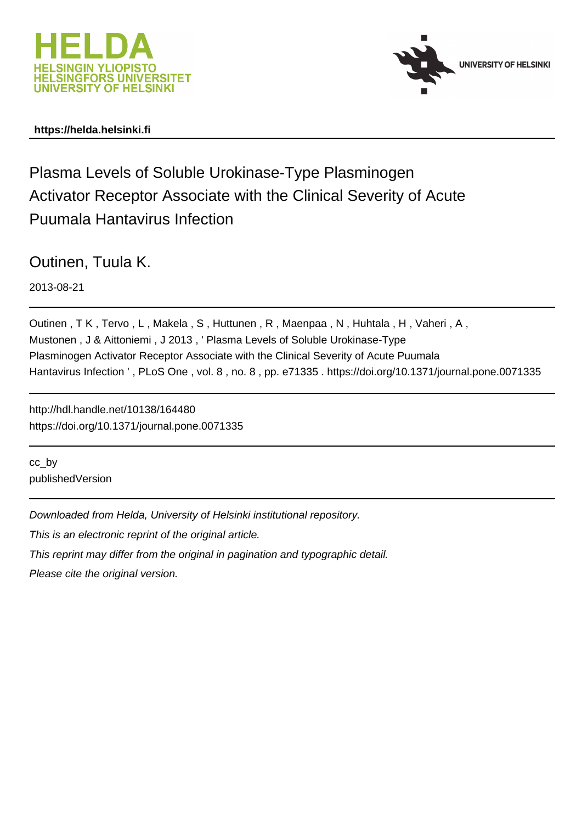



# **https://helda.helsinki.fi**

# Plasma Levels of Soluble Urokinase-Type Plasminogen Activator Receptor Associate with the Clinical Severity of Acute Puumala Hantavirus Infection

Outinen, Tuula K.

2013-08-21

Outinen , T K , Tervo , L , Makela , S , Huttunen , R , Maenpaa , N , Huhtala , H , Vaheri , A , Mustonen , J & Aittoniemi , J 2013 , ' Plasma Levels of Soluble Urokinase-Type Plasminogen Activator Receptor Associate with the Clinical Severity of Acute Puumala Hantavirus Infection ' , PLoS One , vol. 8 , no. 8 , pp. e71335 . https://doi.org/10.1371/journal.pone.0071335

http://hdl.handle.net/10138/164480 https://doi.org/10.1371/journal.pone.0071335

cc\_by publishedVersion

Downloaded from Helda, University of Helsinki institutional repository.

This is an electronic reprint of the original article.

This reprint may differ from the original in pagination and typographic detail.

Please cite the original version.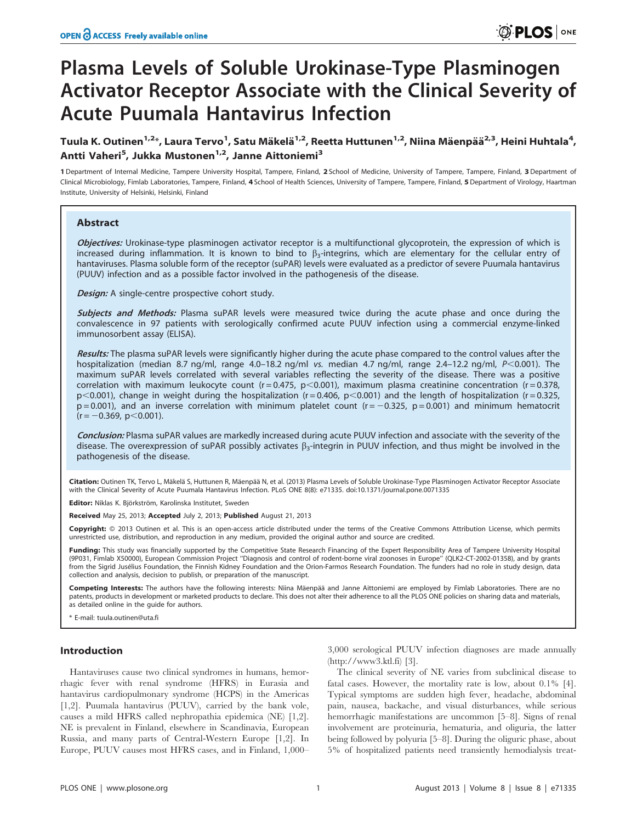# Plasma Levels of Soluble Urokinase-Type Plasminogen Activator Receptor Associate with the Clinical Severity of Acute Puumala Hantavirus Infection

# Tuula K. Outinen<sup>1,2</sup>\*, Laura Tervo<sup>1</sup>, Satu Mäkelä<sup>1,2</sup>, Reetta Huttunen<sup>1,2</sup>, Niina Mäenpää<sup>2,3</sup>, Heini Huhtala<sup>4</sup>, Antti Vaheri<sup>5</sup>, Jukka Mustonen<sup>1,2</sup>, Janne Aittoniemi<sup>3</sup>

1 Department of Internal Medicine, Tampere University Hospital, Tampere, Finland, 2 School of Medicine, University of Tampere, Tampere, Finland, 3 Department of Clinical Microbiology, Fimlab Laboratories, Tampere, Finland, 4 School of Health Sciences, University of Tampere, Tampere, Finland, 5 Department of Virology, Haartman Institute, University of Helsinki, Helsinki, Finland

### Abstract

Objectives: Urokinase-type plasminogen activator receptor is a multifunctional glycoprotein, the expression of which is increased during inflammation. It is known to bind to  $\beta_3$ -integrins, which are elementary for the cellular entry of hantaviruses. Plasma soluble form of the receptor (suPAR) levels were evaluated as a predictor of severe Puumala hantavirus (PUUV) infection and as a possible factor involved in the pathogenesis of the disease.

Design: A single-centre prospective cohort study.

**Subjects and Methods:** Plasma suPAR levels were measured twice during the acute phase and once during the convalescence in 97 patients with serologically confirmed acute PUUV infection using a commercial enzyme-linked immunosorbent assay (ELISA).

Results: The plasma suPAR levels were significantly higher during the acute phase compared to the control values after the hospitalization (median 8.7 ng/ml, range 4.0–18.2 ng/ml vs. median 4.7 ng/ml, range 2.4–12.2 ng/ml,  $P<0.001$ ). The maximum suPAR levels correlated with several variables reflecting the severity of the disease. There was a positive correlation with maximum leukocyte count (r = 0.475, p < 0.001), maximum plasma creatinine concentration (r = 0.378,  $p$ <0.001), change in weight during the hospitalization (r = 0.406, p<0.001) and the length of hospitalization (r = 0.325,  $p = 0.001$ ), and an inverse correlation with minimum platelet count ( $r = -0.325$ ,  $p = 0.001$ ) and minimum hematocrit  $(r = -0.369, p < 0.001)$ .

Conclusion: Plasma suPAR values are markedly increased during acute PUUV infection and associate with the severity of the disease. The overexpression of suPAR possibly activates  $\beta_3$ -integrin in PUUV infection, and thus might be involved in the pathogenesis of the disease.

Citation: Outinen TK, Tervo L, Mäkelä S, Huttunen R, Mäenpää N, et al. (2013) Plasma Levels of Soluble Urokinase-Type Plasminogen Activator Receptor Associate with the Clinical Severity of Acute Puumala Hantavirus Infection. PLoS ONE 8(8): e71335. doi:10.1371/journal.pone.0071335

Editor: Niklas K. Björkström, Karolinska Institutet, Sweden

Received May 25, 2013; Accepted July 2, 2013; Published August 21, 2013

Copyright: © 2013 Outinen et al. This is an open-access article distributed under the terms of the Creative Commons Attribution License, which permits unrestricted use, distribution, and reproduction in any medium, provided the original author and source are credited.

Funding: This study was financially supported by the Competitive State Research Financing of the Expert Responsibility Area of Tampere University Hospital (9P031, Fimlab X50000), European Commission Project ''Diagnosis and control of rodent-borne viral zoonoses in Europe'' (QLK2-CT-2002-01358), and by grants from the Sigrid Jusélius Foundation, the Finnish Kidney Foundation and the Orion-Farmos Research Foundation. The funders had no role in study design, data collection and analysis, decision to publish, or preparation of the manuscript.

Competing Interests: The authors have the following interests: Niina Mäenpää and Janne Aittoniemi are employed by Fimlab Laboratories. There are no patents, products in development or marketed products to declare. This does not alter their adherence to all the PLOS ONE policies on sharing data and materials, as detailed online in the guide for authors.

\* E-mail: tuula.outinen@uta.fi

# Introduction

Hantaviruses cause two clinical syndromes in humans, hemorrhagic fever with renal syndrome (HFRS) in Eurasia and hantavirus cardiopulmonary syndrome (HCPS) in the Americas [1,2]. Puumala hantavirus (PUUV), carried by the bank vole, causes a mild HFRS called nephropathia epidemica (NE) [1,2]. NE is prevalent in Finland, elsewhere in Scandinavia, European Russia, and many parts of Central-Western Europe [1,2]. In Europe, PUUV causes most HFRS cases, and in Finland, 1,000–

3,000 serological PUUV infection diagnoses are made annually (http://www3.ktl.fi) [3].

The clinical severity of NE varies from subclinical disease to fatal cases. However, the mortality rate is low, about 0.1% [4]. Typical symptoms are sudden high fever, headache, abdominal pain, nausea, backache, and visual disturbances, while serious hemorrhagic manifestations are uncommon [5–8]. Signs of renal involvement are proteinuria, hematuria, and oliguria, the latter being followed by polyuria [5–8]. During the oliguric phase, about 5% of hospitalized patients need transiently hemodialysis treat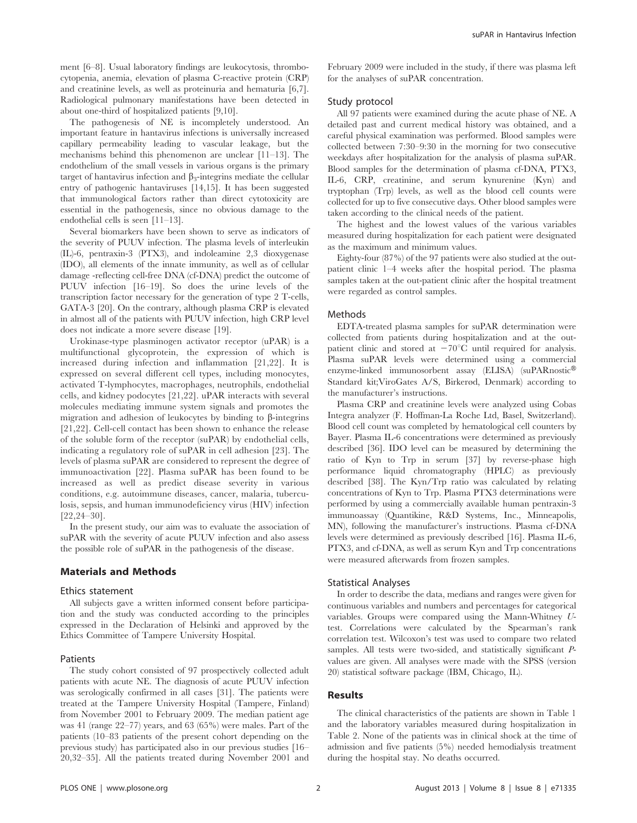ment [6–8]. Usual laboratory findings are leukocytosis, thrombocytopenia, anemia, elevation of plasma C-reactive protein (CRP) and creatinine levels, as well as proteinuria and hematuria [6,7]. Radiological pulmonary manifestations have been detected in about one-third of hospitalized patients [9,10].

The pathogenesis of NE is incompletely understood. An important feature in hantavirus infections is universally increased capillary permeability leading to vascular leakage, but the mechanisms behind this phenomenon are unclear [11–13]. The endothelium of the small vessels in various organs is the primary target of hantavirus infection and  $\beta_3$ -integrins mediate the cellular entry of pathogenic hantaviruses [14,15]. It has been suggested that immunological factors rather than direct cytotoxicity are essential in the pathogenesis, since no obvious damage to the endothelial cells is seen [11–13].

Several biomarkers have been shown to serve as indicators of the severity of PUUV infection. The plasma levels of interleukin (IL)-6, pentraxin-3 (PTX3), and indoleamine 2,3 dioxygenase (IDO), all elements of the innate immunity, as well as of cellular damage -reflecting cell-free DNA (cf-DNA) predict the outcome of PUUV infection [16–19]. So does the urine levels of the transcription factor necessary for the generation of type 2 T-cells, GATA-3 [20]. On the contrary, although plasma CRP is elevated in almost all of the patients with PUUV infection, high CRP level does not indicate a more severe disease [19].

Urokinase-type plasminogen activator receptor (uPAR) is a multifunctional glycoprotein, the expression of which is increased during infection and inflammation [21,22]. It is expressed on several different cell types, including monocytes, activated T-lymphocytes, macrophages, neutrophils, endothelial cells, and kidney podocytes [21,22]. uPAR interacts with several molecules mediating immune system signals and promotes the migration and adhesion of leukocytes by binding to  $\beta$ -integrins [21,22]. Cell-cell contact has been shown to enhance the release of the soluble form of the receptor (suPAR) by endothelial cells, indicating a regulatory role of suPAR in cell adhesion [23]. The levels of plasma suPAR are considered to represent the degree of immunoactivation [22]. Plasma suPAR has been found to be increased as well as predict disease severity in various conditions, e.g. autoimmune diseases, cancer, malaria, tuberculosis, sepsis, and human immunodeficiency virus (HIV) infection [22,24–30].

In the present study, our aim was to evaluate the association of suPAR with the severity of acute PUUV infection and also assess the possible role of suPAR in the pathogenesis of the disease.

#### Materials and Methods

#### Ethics statement

All subjects gave a written informed consent before participation and the study was conducted according to the principles expressed in the Declaration of Helsinki and approved by the Ethics Committee of Tampere University Hospital.

#### Patients

The study cohort consisted of 97 prospectively collected adult patients with acute NE. The diagnosis of acute PUUV infection was serologically confirmed in all cases [31]. The patients were treated at the Tampere University Hospital (Tampere, Finland) from November 2001 to February 2009. The median patient age was 41 (range 22–77) years, and 63 (65%) were males. Part of the patients (10–83 patients of the present cohort depending on the previous study) has participated also in our previous studies [16– 20,32–35]. All the patients treated during November 2001 and February 2009 were included in the study, if there was plasma left for the analyses of suPAR concentration.

#### Study protocol

All 97 patients were examined during the acute phase of NE. A detailed past and current medical history was obtained, and a careful physical examination was performed. Blood samples were collected between 7:30–9:30 in the morning for two consecutive weekdays after hospitalization for the analysis of plasma suPAR. Blood samples for the determination of plasma cf-DNA, PTX3, IL-6, CRP, creatinine, and serum kynurenine (Kyn) and tryptophan (Trp) levels, as well as the blood cell counts were collected for up to five consecutive days. Other blood samples were taken according to the clinical needs of the patient.

The highest and the lowest values of the various variables measured during hospitalization for each patient were designated as the maximum and minimum values.

Eighty-four (87%) of the 97 patients were also studied at the outpatient clinic 1–4 weeks after the hospital period. The plasma samples taken at the out-patient clinic after the hospital treatment were regarded as control samples.

#### Methods

EDTA-treated plasma samples for suPAR determination were collected from patients during hospitalization and at the outpatient clinic and stored at  $-70^{\circ}$ C until required for analysis. Plasma suPAR levels were determined using a commercial enzyme-linked immunosorbent assay (ELISA) (suPARnostic® Standard kit;ViroGates A/S, Birkerød, Denmark) according to the manufacturer's instructions.

Plasma CRP and creatinine levels were analyzed using Cobas Integra analyzer (F. Hoffman-La Roche Ltd, Basel, Switzerland). Blood cell count was completed by hematological cell counters by Bayer. Plasma IL-6 concentrations were determined as previously described [36]. IDO level can be measured by determining the ratio of Kyn to Trp in serum [37] by reverse-phase high performance liquid chromatography (HPLC) as previously described [38]. The Kyn/Trp ratio was calculated by relating concentrations of Kyn to Trp. Plasma PTX3 determinations were performed by using a commercially available human pentraxin-3 immunoassay (Quantikine, R&D Systems, Inc., Minneapolis, MN), following the manufacturer's instructions. Plasma cf-DNA levels were determined as previously described [16]. Plasma IL-6, PTX3, and cf-DNA, as well as serum Kyn and Trp concentrations were measured afterwards from frozen samples.

#### Statistical Analyses

In order to describe the data, medians and ranges were given for continuous variables and numbers and percentages for categorical variables. Groups were compared using the Mann-Whitney Utest. Correlations were calculated by the Spearman's rank correlation test. Wilcoxon's test was used to compare two related samples. All tests were two-sided, and statistically significant Pvalues are given. All analyses were made with the SPSS (version 20) statistical software package (IBM, Chicago, IL).

#### Results

The clinical characteristics of the patients are shown in Table 1 and the laboratory variables measured during hospitalization in Table 2. None of the patients was in clinical shock at the time of admission and five patients (5%) needed hemodialysis treatment during the hospital stay. No deaths occurred.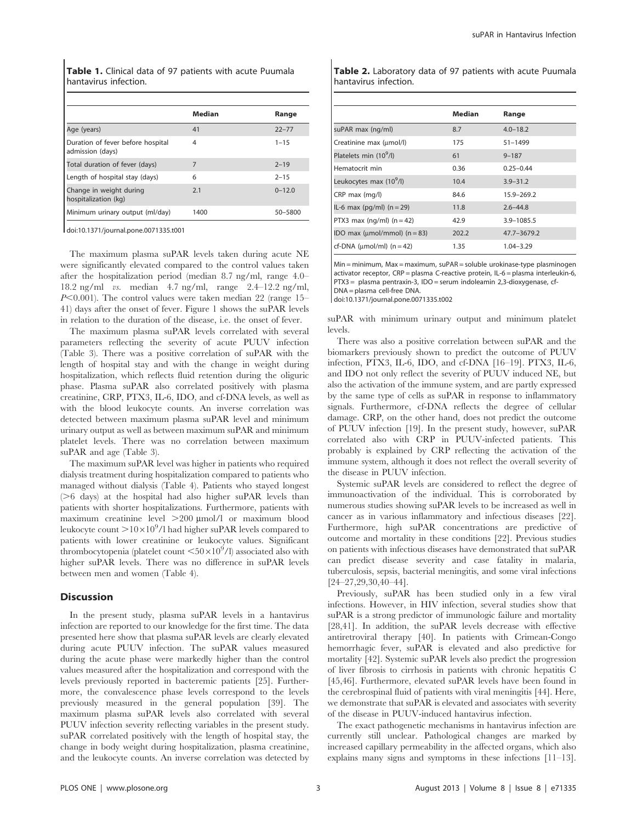Table 1. Clinical data of 97 patients with acute Puumala hantavirus infection.

|                                                       | <b>Median</b> | Range      |
|-------------------------------------------------------|---------------|------------|
| Age (years)                                           | 41            | $22 - 77$  |
| Duration of fever before hospital<br>admission (days) | 4             | $1 - 15$   |
| Total duration of fever (days)                        | 7             | $2 - 19$   |
| Length of hospital stay (days)                        | 6             | $2 - 15$   |
| Change in weight during<br>hospitalization (kg)       | 2.1           | $0 - 12.0$ |
| Minimum urinary output (ml/day)                       | 1400          | 50-5800    |
|                                                       |               |            |

doi:10.1371/journal.pone.0071335.t001

The maximum plasma suPAR levels taken during acute NE were significantly elevated compared to the control values taken after the hospitalization period (median 8.7 ng/ml, range 4.0– 18.2 ng/ml vs. median 4.7 ng/ml, range 2.4–12.2 ng/ml,  $P<0.001$ ). The control values were taken median 22 (range 15– 41) days after the onset of fever. Figure 1 shows the suPAR levels in relation to the duration of the disease, i.e. the onset of fever.

The maximum plasma suPAR levels correlated with several parameters reflecting the severity of acute PUUV infection (Table 3). There was a positive correlation of suPAR with the length of hospital stay and with the change in weight during hospitalization, which reflects fluid retention during the oliguric phase. Plasma suPAR also correlated positively with plasma creatinine, CRP, PTX3, IL-6, IDO, and cf-DNA levels, as well as with the blood leukocyte counts. An inverse correlation was detected between maximum plasma suPAR level and minimum urinary output as well as between maximum suPAR and minimum platelet levels. There was no correlation between maximum suPAR and age (Table 3).

The maximum suPAR level was higher in patients who required dialysis treatment during hospitalization compared to patients who managed without dialysis (Table 4). Patients who stayed longest  $($ >6 days) at the hospital had also higher suPAR levels than patients with shorter hospitalizations. Furthermore, patients with maximum creatinine level  $>200$  umol/l or maximum blood leukocyte count  $>$  10 $\times$ 10 $^{9}$ /l had higher suPAR levels compared to patients with lower creatinine or leukocyte values. Significant thrombocytopenia (platelet count  $\leq 50\times10^9$ /l) associated also with higher suPAR levels. There was no difference in suPAR levels between men and women (Table 4).

#### **Discussion**

In the present study, plasma suPAR levels in a hantavirus infection are reported to our knowledge for the first time. The data presented here show that plasma suPAR levels are clearly elevated during acute PUUV infection. The suPAR values measured during the acute phase were markedly higher than the control values measured after the hospitalization and correspond with the levels previously reported in bacteremic patients [25]. Furthermore, the convalescence phase levels correspond to the levels previously measured in the general population [39]. The maximum plasma suPAR levels also correlated with several PUUV infection severity reflecting variables in the present study. suPAR correlated positively with the length of hospital stay, the change in body weight during hospitalization, plasma creatinine, and the leukocyte counts. An inverse correlation was detected by

Table 2. Laboratory data of 97 patients with acute Puumala hantavirus infection.

|                                        | <b>Median</b> | Range         |
|----------------------------------------|---------------|---------------|
| suPAR max (ng/ml)                      | 8.7           | $4.0 - 18.2$  |
| Creatinine max (umol/l)                | 175           | $51 - 1499$   |
| Platelets min (10 <sup>9</sup> /l)     | 61            | $9 - 187$     |
| Hematocrit min                         | 0.36          | $0.25 - 0.44$ |
| Leukocytes max (10 <sup>9</sup> /l)    | 10.4          | $3.9 - 31.2$  |
| $CRP$ max $(mq/l)$                     | 84.6          | 15.9-269.2    |
| IL-6 max (pg/ml) $(n = 29)$            | 11.8          | $2.6 - 44.8$  |
| PTX3 max ( $nq/ml$ ) ( $n = 42$ )      | 42.9          | 3.9-1085.5    |
| IDO max ( $\mu$ mol/mmol) ( $n = 83$ ) | 202.2         | 47.7-3679.2   |
| cf-DNA ( $\mu$ mol/ml) ( $n = 42$ )    | 1.35          | 1.04-3.29     |

 $Min = minimum$ ,  $Max = maximum$  suPAR = soluble urokinase-type plasminogen activator receptor, CRP = plasma C-reactive protein, IL-6 = plasma interleukin-6, PTX3 = plasma pentraxin-3, IDO = serum indoleamin 2,3-dioxygenase, cf-DNA = plasma cell-free DNA.

doi:10.1371/journal.pone.0071335.t002

suPAR with minimum urinary output and minimum platelet levels.

There was also a positive correlation between suPAR and the biomarkers previously shown to predict the outcome of PUUV infection, PTX3, IL-6, IDO, and cf-DNA [16–19]. PTX3, IL-6, and IDO not only reflect the severity of PUUV induced NE, but also the activation of the immune system, and are partly expressed by the same type of cells as suPAR in response to inflammatory signals. Furthermore, cf-DNA reflects the degree of cellular damage. CRP, on the other hand, does not predict the outcome of PUUV infection [19]. In the present study, however, suPAR correlated also with CRP in PUUV-infected patients. This probably is explained by CRP reflecting the activation of the immune system, although it does not reflect the overall severity of the disease in PUUV infection.

Systemic suPAR levels are considered to reflect the degree of immunoactivation of the individual. This is corroborated by numerous studies showing suPAR levels to be increased as well in cancer as in various inflammatory and infectious diseases [22]. Furthermore, high suPAR concentrations are predictive of outcome and mortality in these conditions [22]. Previous studies on patients with infectious diseases have demonstrated that suPAR can predict disease severity and case fatality in malaria, tuberculosis, sepsis, bacterial meningitis, and some viral infections [24–27,29,30,40–44].

Previously, suPAR has been studied only in a few viral infections. However, in HIV infection, several studies show that suPAR is a strong predictor of immunologic failure and mortality [28,41]. In addition, the suPAR levels decrease with effective antiretroviral therapy [40]. In patients with Crimean-Congo hemorrhagic fever, suPAR is elevated and also predictive for mortality [42]. Systemic suPAR levels also predict the progression of liver fibrosis to cirrhosis in patients with chronic hepatitis C [45,46]. Furthermore, elevated suPAR levels have been found in the cerebrospinal fluid of patients with viral meningitis [44]. Here, we demonstrate that suPAR is elevated and associates with severity of the disease in PUUV-induced hantavirus infection.

The exact pathogenetic mechanisms in hantavirus infection are currently still unclear. Pathological changes are marked by increased capillary permeability in the affected organs, which also explains many signs and symptoms in these infections [11–13].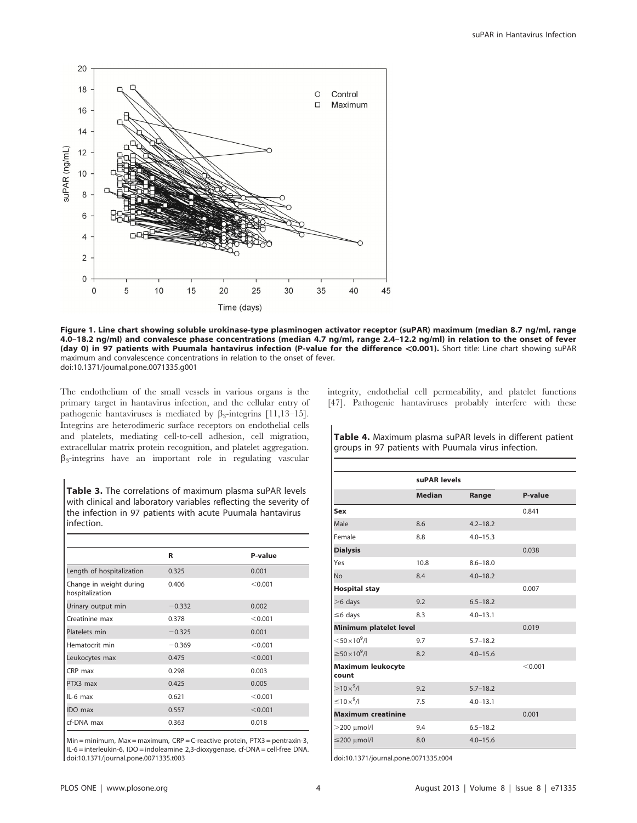

Figure 1. Line chart showing soluble urokinase-type plasminogen activator receptor (suPAR) maximum (median 8.7 ng/ml, range 4.0–18.2 ng/ml) and convalesce phase concentrations (median 4.7 ng/ml, range 2.4–12.2 ng/ml) in relation to the onset of fever (day 0) in 97 patients with Puumala hantavirus infection (P-value for the difference <0.001). Short title: Line chart showing suPAR maximum and convalescence concentrations in relation to the onset of fever. doi:10.1371/journal.pone.0071335.g001

The endothelium of the small vessels in various organs is the primary target in hantavirus infection, and the cellular entry of pathogenic hantaviruses is mediated by  $\beta_3$ -integrins [11,13–15]. Integrins are heterodimeric surface receptors on endothelial cells and platelets, mediating cell-to-cell adhesion, cell migration, extracellular matrix protein recognition, and platelet aggregation.  $\beta_3$ -integrins have an important role in regulating vascular

Table 3. The correlations of maximum plasma suPAR levels with clinical and laboratory variables reflecting the severity of the infection in 97 patients with acute Puumala hantavirus infection.

|                                            | R        | P-value |
|--------------------------------------------|----------|---------|
| Length of hospitalization                  | 0.325    | 0.001   |
| Change in weight during<br>hospitalization | 0.406    | < 0.001 |
| Urinary output min                         | $-0.332$ | 0.002   |
| Creatinine max                             | 0.378    | < 0.001 |
| Platelets min                              | $-0.325$ | 0.001   |
| Hematocrit min                             | $-0.369$ | < 0.001 |
| Leukocytes max                             | 0.475    | < 0.001 |
| CRP max                                    | 0.298    | 0.003   |
| PTX3 max                                   | 0.425    | 0.005   |
| $IL-6$ max                                 | 0.621    | < 0.001 |
| <b>IDO</b> max                             | 0.557    | < 0.001 |
| cf-DNA max                                 | 0.363    | 0.018   |

 $Min = minimum$ ,  $Max = maximum$ ,  $CRP = C$ -reactive protein,  $PTX3 =$  pentraxin-3, IL-6 = interleukin-6, IDO = indoleamine 2,3-dioxygenase, cf-DNA = cell-free DNA. doi:10.1371/journal.pone.0071335.t003

integrity, endothelial cell permeability, and platelet functions [47]. Pathogenic hantaviruses probably interfere with these

Table 4. Maximum plasma suPAR levels in different patient groups in 97 patients with Puumala virus infection.

|                                       | suPAR levels  |              | P-value |
|---------------------------------------|---------------|--------------|---------|
|                                       | <b>Median</b> | Range        |         |
| Sex                                   |               |              | 0.841   |
| Male                                  | 8.6           | $4.2 - 18.2$ |         |
| Female                                | 8.8           | $4.0 - 15.3$ |         |
| <b>Dialysis</b>                       |               |              | 0.038   |
| Yes                                   | 10.8          | $8.6 - 18.0$ |         |
| <b>No</b>                             | 8.4           | $4.0 - 18.2$ |         |
| <b>Hospital stay</b>                  |               |              | 0.007   |
| $>6$ days                             | 9.2           | $6.5 - 18.2$ |         |
| $\leq$ 6 days                         | 8.3           | $4.0 - 13.1$ |         |
| Minimum platelet level                |               |              | 0.019   |
| $<$ 50 $\times$ 10 <sup>9</sup> /l    | 9.7           | $5.7 - 18.2$ |         |
| $\geq$ 50 $\times$ 10 <sup>9</sup> /l | 8.2           | $4.0 - 15.6$ |         |
| <b>Maximum leukocyte</b><br>count     |               |              | < 0.001 |
| $>10\times^9$ /I                      | 9.2           | $5.7 - 18.2$ |         |
| $\leq 10 \times ^9$ /I                | 7.5           | $4.0 - 13.1$ |         |
| <b>Maximum creatinine</b>             |               |              | 0.001   |
| $>$ 200 $\mu$ mol/l                   | 9.4           | $6.5 - 18.2$ |         |
| $\leq$ 200 µmol/l                     | 8.0           | $4.0 - 15.6$ |         |

doi:10.1371/journal.pone.0071335.t004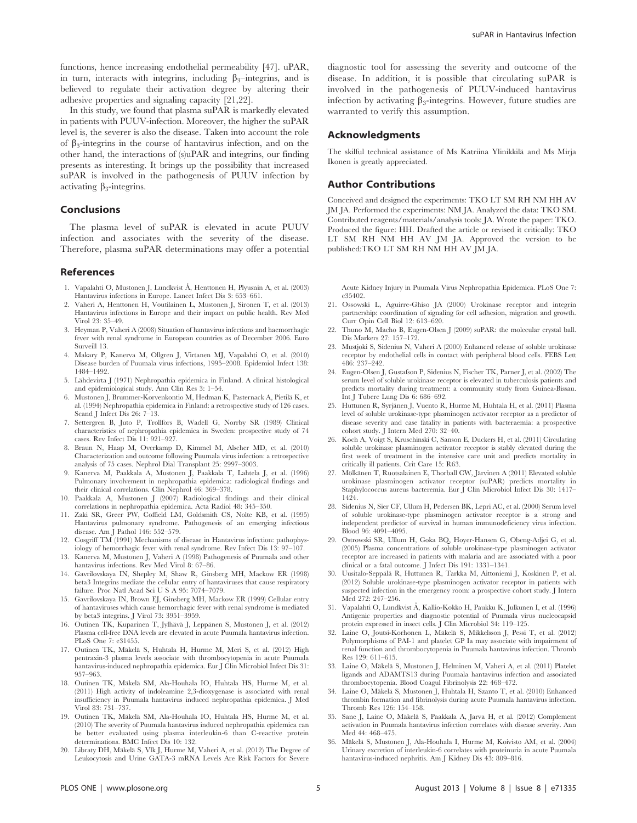functions, hence increasing endothelial permeability [47]. uPAR, in turn, interacts with integrins, including  $\beta_3$ –integrins, and is believed to regulate their activation degree by altering their adhesive properties and signaling capacity [21,22].

In this study, we found that plasma suPAR is markedly elevated in patients with PUUV-infection. Moreover, the higher the suPAR level is, the severer is also the disease. Taken into account the role of  $\beta_3$ -integrins in the course of hantavirus infection, and on the other hand, the interactions of (s)uPAR and integrins, our finding presents as interesting. It brings up the possibility that increased suPAR is involved in the pathogenesis of PUUV infection by activating  $\beta_3$ -integrins.

## Conclusions

The plasma level of suPAR is elevated in acute PUUV infection and associates with the severity of the disease. Therefore, plasma suPAR determinations may offer a potential

### References

- 1. Vapalahti O, Mustonen J, Lundkvist Å, Henttonen H, Plyusnin A, et al. (2003) Hantavirus infections in Europe. Lancet Infect Dis 3: 653–661.
- 2. Vaheri A, Henttonen H, Voutilainen L, Mustonen J, Sironen T, et al. (2013) Hantavirus infections in Europe and their impact on public health. Rev Med Virol 23: 35–49.
- 3. Heyman P, Vaheri A (2008) Situation of hantavirus infections and haemorrhagic fever with renal syndrome in European countries as of December 2006. Euro Surveill 13.
- 4. Makary P, Kanerva M, Ollgren J, Virtanen MJ, Vapalahti O, et al. (2010) Disease burden of Puumala virus infections, 1995–2008. Epidemiol Infect 138: 1484–1492.
- 5. Lähdevirta J (1971) Nephropathia epidemica in Finland. A clinical histological and epidemiological study. Ann Clin Res 3: 1–54.
- 6. Mustonen J, Brummer-Korvenkontio M, Hedman K, Pasternack A, Pietilä K, et al. (1994) Nephropathia epidemica in Finland: a retrospective study of 126 cases. Scand J Infect Dis 26: 7–13.
- 7. Settergren B, Juto P, Trollfors B, Wadell G, Norrby SR (1989) Clinical characteristics of nephropathia epidemica in Sweden: prospective study of 74 cases. Rev Infect Dis 11: 921–927.
- 8. Braun N, Haap M, Overkamp D, Kimmel M, Alscher MD, et al. (2010) Characterization and outcome following Puumala virus infection: a retrospective analysis of 75 cases. Nephrol Dial Transplant 25: 2997–3003.
- 9. Kanerva M, Paakkala A, Mustonen J, Paakkala T, Lahtela J, et al. (1996) Pulmonary involvement in nephropathia epidemica: radiological findings and their clinical correlations. Clin Nephrol 46: 369–378.
- 10. Paakkala A, Mustonen J (2007) Radiological findings and their clinical correlations in nephropathia epidemica. Acta Radiol 48: 345–350.
- 11. Zaki SR, Greer PW, Coffield LM, Goldsmith CS, Nolte KB, et al. (1995) Hantavirus pulmonary syndrome. Pathogenesis of an emerging infectious disease. Am J Pathol 146: 552–579.
- 12. Cosgriff TM (1991) Mechanisms of disease in Hantavirus infection: pathophysiology of hemorrhagic fever with renal syndrome. Rev Infect Dis 13: 97–107.
- 13. Kanerva M, Mustonen J, Vaheri A (1998) Pathogenesis of Puumala and other hantavirus infections. Rev Med Virol 8: 67–86.
- 14. Gavrilovskaya IN, Shepley M, Shaw R, Ginsberg MH, Mackow ER (1998) beta3 Integrins mediate the cellular entry of hantaviruses that cause respiratory failure. Proc Natl Acad Sci U S A 95: 7074–7079.
- 15. Gavrilovskaya IN, Brown EJ, Ginsberg MH, Mackow ER (1999) Cellular entry of hantaviruses which cause hemorrhagic fever with renal syndrome is mediated by beta3 integrins. J Virol 73: 3951–3959.
- 16. Outinen TK, Kuparinen T, Jylhävä J, Leppänen S, Mustonen J, et al. (2012) Plasma cell-free DNA levels are elevated in acute Puumala hantavirus infection. PLoS One 7: e31455.
- 17. Outinen TK, Mäkelä S, Huhtala H, Hurme M, Meri S, et al. (2012) High pentraxin-3 plasma levels associate with thrombocytopenia in acute Puumala hantavirus-induced nephropathia epidemica. Eur J Clin Microbiol Infect Dis 31: 957–963.
- 18. Outinen TK, Mäkelä SM, Ala-Houhala IO, Huhtala HS, Hurme M, et al. (2011) High activity of indoleamine 2,3-dioxygenase is associated with renal insufficiency in Puumala hantavirus induced nephropathia epidemica. J Med Virol 83: 731–737.
- 19. Outinen TK, Mäkelä SM, Ala-Houhala IO, Huhtala HS, Hurme M, et al. (2010) The severity of Puumala hantavirus induced nephropathia epidemica can be better evaluated using plasma interleukin-6 than C-reactive protein determinations. BMC Infect Dis 10: 132.
- 20. Libraty DH, Mäkelä S, Vlk J, Hurme M, Vaheri A, et al. (2012) The Degree of Leukocytosis and Urine GATA-3 mRNA Levels Are Risk Factors for Severe

diagnostic tool for assessing the severity and outcome of the disease. In addition, it is possible that circulating suPAR is involved in the pathogenesis of PUUV-induced hantavirus infection by activating  $\beta_3$ -integrins. However, future studies are warranted to verify this assumption.

## Acknowledgments

The skilful technical assistance of Ms Katriina Ylinikkilä and Ms Mirja Ikonen is greatly appreciated.

### Author Contributions

Conceived and designed the experiments: TKO LT SM RH NM HH AV JM JA. Performed the experiments: NM JA. Analyzed the data: TKO SM. Contributed reagents/materials/analysis tools: JA. Wrote the paper: TKO. Produced the figure: HH. Drafted the article or revised it critically: TKO LT SM RH NM HH AV JM JA. Approved the version to be published:TKO LT SM RH NM HH AV JM JA.

Acute Kidney Injury in Puumala Virus Nephropathia Epidemica. PLoS One 7: e35402.

- 21. Ossowski L, Aguirre-Ghiso JA (2000) Urokinase receptor and integrin partnership: coordination of signaling for cell adhesion, migration and growth. Curr Opin Cell Biol 12: 613–620.
- 22. Thuno M, Macho B, Eugen-Olsen J (2009) suPAR: the molecular crystal ball. Dis Markers 27: 157–172.
- 23. Mustjoki S, Sidenius N, Vaheri A (2000) Enhanced release of soluble urokinase receptor by endothelial cells in contact with peripheral blood cells. FEBS Lett 486: 237–242.
- 24. Eugen-Olsen J, Gustafson P, Sidenius N, Fischer TK, Parner J, et al. (2002) The serum level of soluble urokinase receptor is elevated in tuberculosis patients and predicts mortality during treatment: a community study from Guinea-Bissau. Int J Tuberc Lung Dis 6: 686–692.
- 25. Huttunen R, Syrjänen J, Vuento R, Hurme M, Huhtala H, et al. (2011) Plasma level of soluble urokinase-type plasminogen activator receptor as a predictor of disease severity and case fatality in patients with bacteraemia: a prospective cohort study. J Intern Med 270: 32–40.
- 26. Koch A, Voigt S, Kruschinski C, Sanson E, Duckers H, et al. (2011) Circulating soluble urokinase plasminogen activator receptor is stably elevated during the first week of treatment in the intensive care unit and predicts mortality in critically ill patients. Crit Care 15: R63.
- 27. Mölkanen T, Ruotsalainen E, Thorball CW, Järvinen A (2011) Elevated soluble urokinase plasminogen activator receptor (suPAR) predicts mortality in Staphylococcus aureus bacteremia. Eur J Clin Microbiol Infect Dis 30: 1417– 1424.
- 28. Sidenius N, Sier CF, Ullum H, Pedersen BK, Lepri AC, et al. (2000) Serum level of soluble urokinase-type plasminogen activator receptor is a strong and independent predictor of survival in human immunodeficiency virus infection. Blood 96: 4091–4095.
- 29. Ostrowski SR, Ullum H, Goka BQ, Hoyer-Hansen G, Obeng-Adjei G, et al. (2005) Plasma concentrations of soluble urokinase-type plasminogen activator receptor are increased in patients with malaria and are associated with a poor clinical or a fatal outcome. J Infect Dis 191: 1331–1341.
- 30. Uusitalo-Seppälä R, Huttunen R, Tarkka M, Aittoniemi J, Koskinen P, et al. (2012) Soluble urokinase-type plasminogen activator receptor in patients with suspected infection in the emergency room: a prospective cohort study. J Intern Med 272: 247–256.
- 31. Vapalahti O, Lundkvist Å, Kallio-Kokko H, Paukku K, Julkunen I, et al. (1996) Antigenic properties and diagnostic potential of Puumala virus nucleocapsid protein expressed in insect cells. J Clin Microbiol 34: 119–125.
- 32. Laine O, Joutsi-Korhonen L, Mäkelä S, Mikkelsson J, Pessi T, et al. (2012) Polymorphisms of PAI-1 and platelet GP Ia may associate with impairment of renal function and thrombocytopenia in Puumala hantavirus infection. Thromb Res 129: 611–615.
- 33. Laine O, Mäkelä S, Mustonen J, Helminen M, Vaheri A, et al. (2011) Platelet ligands and ADAMTS13 during Puumala hantavirus infection and associated thrombocytopenia. Blood Coagul Fibrinolysis 22: 468–472.
- 34. Laine O, Makela S, Mustonen J, Huhtala H, Szanto T, et al. (2010) Enhanced thrombin formation and fibrinolysis during acute Puumala hantavirus infection. Thromb Res 126: 154–158.
- 35. Sane J, Laine O, Mäkelä S, Paakkala A, Jarva H, et al. (2012) Complement activation in Puumala hantavirus infection correlates with disease severity. Ann Med 44: 468–475.
- 36. Mäkelä S, Mustonen J, Ala-Houhala I, Hurme M, Koivisto AM, et al. (2004) Urinary excretion of interleukin-6 correlates with proteinuria in acute Puumala hantavirus-induced nephritis. Am J Kidney Dis 43: 809–816.